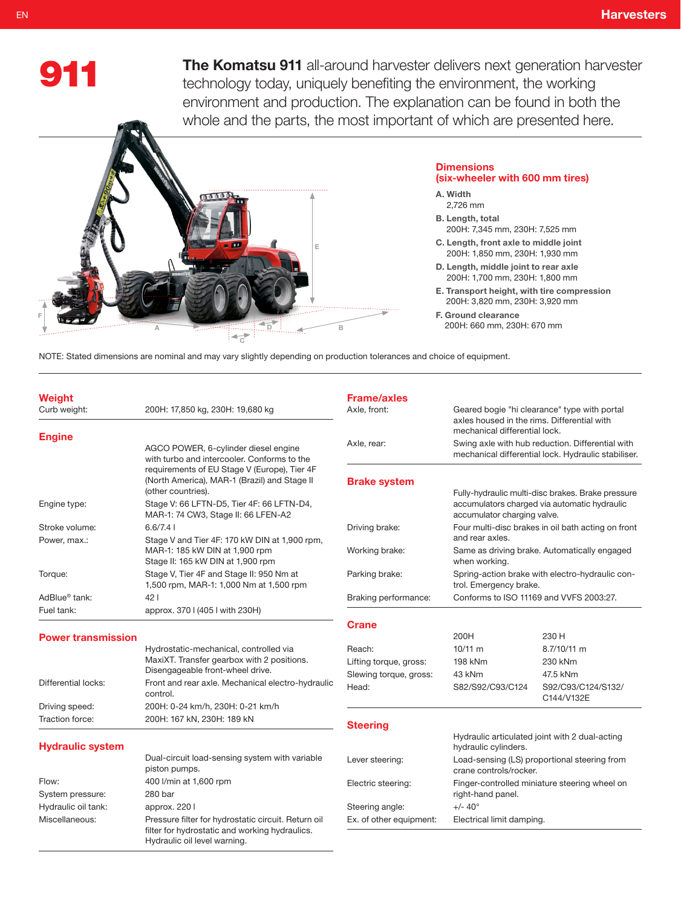

The Komatsu 911 all-around harvester delivers next generation harvester technology today, uniquely benefiting the environment, the working environment and production. The explanation can be found in both the whole and the parts, the most important of which are presented here.



# **Dimensions** (six-wheeler with 600 mm tires)

- A. Width
- 2,726 mm

B. Length, total 200H: 7,345 mm, 230H: 7,525 mm

- C. Length, front axle to middle joint 200H: 1,850 mm, 230H: 1,930 mm
- D. Length, middle joint to rear axle 200H: 1,700 mm, 230H: 1,800 mm
- E. Transport height, with tire compression 200H: 3,820 mm, 230H: 3,920 mm
- F. Ground clearance 200H: 660 mm, 230H: 670 mm

NOTE: Stated dimensions are nominal and may vary slightly depending on production tolerances and choice of equipment.

| Weight                    |                                                                                                                                                                                                           | <b>Fram</b>            |
|---------------------------|-----------------------------------------------------------------------------------------------------------------------------------------------------------------------------------------------------------|------------------------|
| Curb weight:              | 200H: 17,850 kg, 230H: 19,680 kg                                                                                                                                                                          | Axle, fi               |
| <b>Engine</b>             |                                                                                                                                                                                                           |                        |
|                           | AGCO POWER, 6-cylinder diesel engine<br>with turbo and intercooler. Conforms to the<br>requirements of EU Stage V (Europe), Tier 4F<br>(North America), MAR-1 (Brazil) and Stage II<br>(other countries). | Axle, r<br><b>Brak</b> |
| Engine type:              | Stage V: 66 LFTN-D5, Tier 4F: 66 LFTN-D4,<br>MAR-1: 74 CW3, Stage II: 66 LFEN-A2                                                                                                                          |                        |
| Stroke volume:            | 6.6/7.41                                                                                                                                                                                                  | Drivino                |
| Power, max.:              | Stage V and Tier 4F: 170 kW DIN at 1,900 rpm,<br>MAR-1: 185 kW DIN at 1,900 rpm<br>Stage II: 165 kW DIN at 1,900 rpm                                                                                      | Workir                 |
| Torque:                   | Stage V. Tier 4F and Stage II: 950 Nm at<br>1,500 rpm, MAR-1: 1,000 Nm at 1,500 rpm                                                                                                                       | Parkin                 |
| AdBlue <sup>®</sup> tank: | 421                                                                                                                                                                                                       | <b>Brakin</b>          |
| Fuel tank:                | approx. 370   (405   with 230H)                                                                                                                                                                           |                        |

Power transmission

|                                   | Hydrostatic-mechanical, controlled via<br>MaxiXT. Transfer gearbox with 2 positions.<br>Disengageable front-wheel drive. |
|-----------------------------------|--------------------------------------------------------------------------------------------------------------------------|
| Differential locks:               | Front and rear axle. Mechanical electro-hydraulic<br>control.                                                            |
| Driving speed:<br>Traction force: | 200H: 0-24 km/h, 230H: 0-21 km/h<br>200H: 167 kN, 230H: 189 kN                                                           |

Hydraulic system

|                     | Dual-circuit load-sensing system with variable<br>piston pumps.                                                                       |
|---------------------|---------------------------------------------------------------------------------------------------------------------------------------|
| Flow:               | 400 l/min at 1,600 rpm                                                                                                                |
| System pressure:    | 280 bar                                                                                                                               |
| Hydraulic oil tank: | approx. 220 l                                                                                                                         |
| Miscellaneous:      | Pressure filter for hydrostatic circuit. Return oil<br>filter for hydrostatic and working hydraulics.<br>Hydraulic oil level warning. |

| <b>Frame/axles</b>      |                                                                                                                              |                                                                                                   |
|-------------------------|------------------------------------------------------------------------------------------------------------------------------|---------------------------------------------------------------------------------------------------|
| Axle. front:            | Geared bogie "hi clearance" type with portal<br>axles housed in the rims. Differential with<br>mechanical differential lock. |                                                                                                   |
| Axle, rear:             | Swing axle with hub reduction. Differential with<br>mechanical differential lock. Hydraulic stabiliser.                      |                                                                                                   |
| <b>Brake system</b>     |                                                                                                                              |                                                                                                   |
|                         | accumulator charging valve.                                                                                                  | Fully-hydraulic multi-disc brakes. Brake pressure<br>accumulators charged via automatic hydraulic |
| Driving brake:          | and rear axles.                                                                                                              | Four multi-disc brakes in oil bath acting on front                                                |
| Working brake:          | when working.                                                                                                                | Same as driving brake. Automatically engaged                                                      |
| Parking brake:          | trol. Emergency brake.                                                                                                       | Spring-action brake with electro-hydraulic con-                                                   |
| Braking performance:    | Conforms to ISO 11169 and VVFS 2003:27.                                                                                      |                                                                                                   |
| <b>Crane</b>            |                                                                                                                              |                                                                                                   |
|                         | 200H                                                                                                                         | 230 H                                                                                             |
| Reach:                  | $10/11 \text{ m}$                                                                                                            | 8.7/10/11 m                                                                                       |
| Lifting torque, gross:  | 198 kNm                                                                                                                      | 230 kNm                                                                                           |
| Slewing torque, gross:  | 43 kNm                                                                                                                       | 47.5 kNm                                                                                          |
| Head:                   | S82/S92/C93/C124                                                                                                             | S92/C93/C124/S132/<br>C144/V132E                                                                  |
| <b>Steering</b>         |                                                                                                                              |                                                                                                   |
|                         | hydraulic cylinders.                                                                                                         | Hydraulic articulated joint with 2 dual-acting                                                    |
| Lever steering:         | crane controls/rocker.                                                                                                       | Load-sensing (LS) proportional steering from                                                      |
| Electric steering:      | right-hand panel.                                                                                                            | Finger-controlled miniature steering wheel on                                                     |
| Steering angle:         | $+/- 40^{\circ}$                                                                                                             |                                                                                                   |
| Ex. of other equipment: | Electrical limit damping.                                                                                                    |                                                                                                   |
|                         |                                                                                                                              |                                                                                                   |